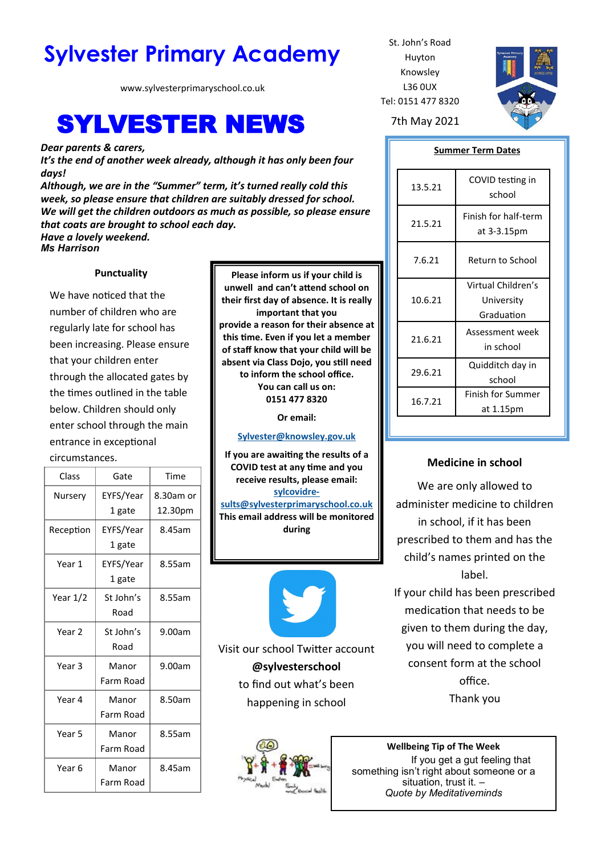# **Sylvester Primary Academy** St. John's Road

www.sylvesterprimaryschool.co.uk

## SYLVESTER NEWS 7th May 2021

*Dear parents & carers,*

*It's the end of another week already, although it has only been four days!*

*Although, we are in the "Summer" term, it's turned really cold this week, so please ensure that children are suitably dressed for school. We will get the children outdoors as much as possible, so please ensure that coats are brought to school each day.*

*Have a lovely weekend. Ms Harrison*

## **Punctuality**

We have noticed that the number of children who are regularly late for school has been increasing. Please ensure that your children enter through the allocated gates by the times outlined in the table below. Children should only enter school through the main entrance in exceptional circumstances.

| Class             | Gate                | Time                 |
|-------------------|---------------------|----------------------|
| Nursery           | EYFS/Year<br>1 gate | 8.30am or<br>12.30pm |
| Reception         | EYFS/Year<br>1 gate | 8.45am               |
| Year 1            | EYFS/Year<br>1 gate | 8.55am               |
| Year 1/2          | St John's<br>Road   | 8.55am               |
| Year <sub>2</sub> | St John's<br>Road   | 9.00am               |
| Year 3            | Manor<br>Farm Road  | 9.00am               |
| Year 4            | Manor<br>Farm Road  | 8.50am               |
| Year <sub>5</sub> | Manor<br>Farm Road  | 8.55am               |
| Year 6            | Manor<br>Farm Road  | 8.45am               |

**Please inform us if your child is unwell and can't attend school on their first day of absence. It is really important that you provide a reason for their absence at this time. Even if you let a member of staff know that your child will be absent via Class Dojo, you still need to inform the school office. You can call us on: 0151 477 8320**

**Or email:** 

**[Sylvester@knowsley.gov.uk](mailto:sylvesterprimaryschool.gov.uk)**

**If you are awaiting the results of a COVID test at any time and you receive results, please email: [sylcovidre](mailto:sylcovidresults@sylvesterprimaryschool.co.uk)[sults@sylvesterprimaryschool.co.uk](mailto:sylcovidresults@sylvesterprimaryschool.co.uk) This email address will be monitored** 

**during** 



Visit our school Twitter account **@sylvesterschool**  to find out what's been happening in school



Huyton Knowsley L36 0UX Tel: 0151 477 8320



#### **Summer Term Dates**

| 13.5.21 | COVID testing in<br>school                     |  |
|---------|------------------------------------------------|--|
| 21.5.21 | Finish for half-term<br>at 3-3.15pm            |  |
| 7.6.21  | Return to School                               |  |
| 10.6.21 | Virtual Children's<br>University<br>Graduation |  |
| 21.6.21 | Assessment week<br>in school                   |  |
| 29.6.21 | Quidditch day in<br>school                     |  |
| 16.7.21 | <b>Finish for Summer</b><br>at 1.15pm          |  |

## **Medicine in school**

We are only allowed to administer medicine to children in school, if it has been prescribed to them and has the child's names printed on the label.

If your child has been prescribed medication that needs to be given to them during the day, you will need to complete a consent form at the school office. Thank you

**Wellbeing Tip of The Week** If you get a gut feeling that something isn't right about someone or a situation, trust it. – *Quote by Meditativeminds*